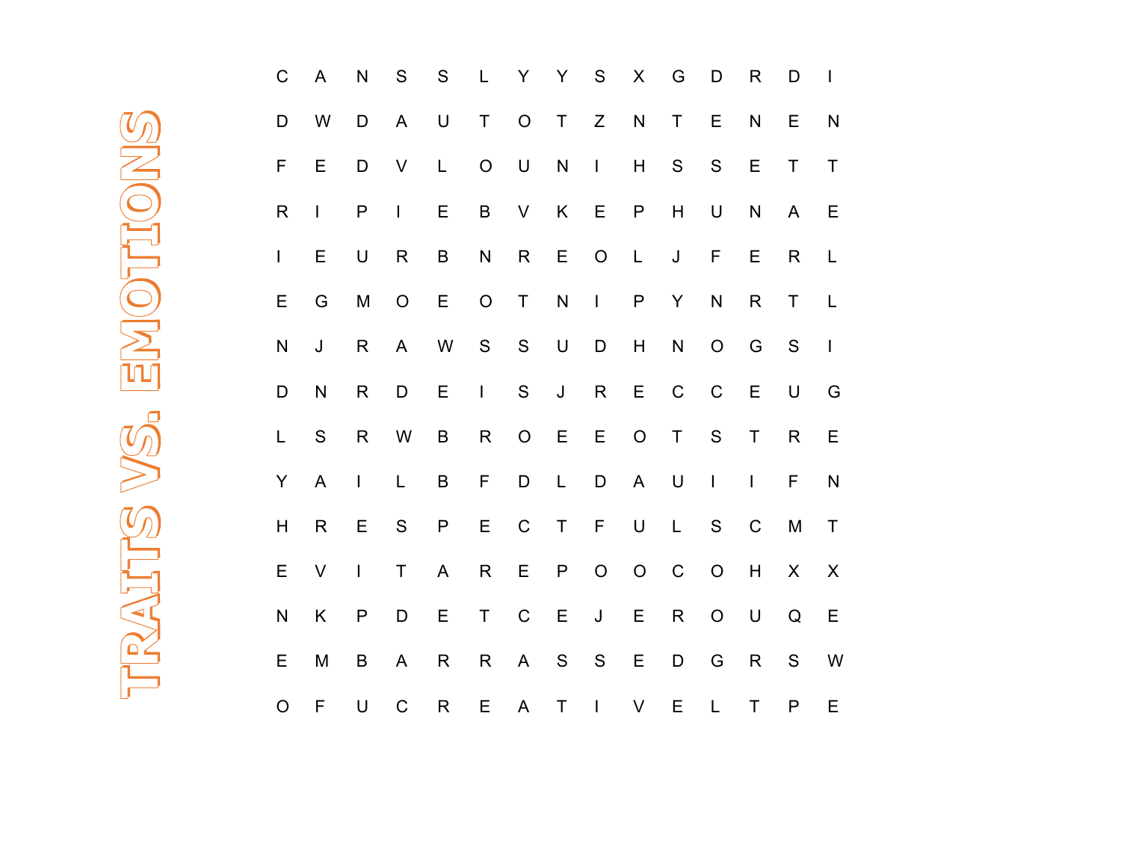| $\mathsf C$  | A                        | $\mathsf{N}$ | ${\sf S}$      | ${\sf S}$ | L           | Y             | Y             | ${\mathsf S}$ | $\mathsf X$ | G             | D             | $\mathsf R$              | D             | $\begin{array}{c} \hline \end{array}$ |
|--------------|--------------------------|--------------|----------------|-----------|-------------|---------------|---------------|---------------|-------------|---------------|---------------|--------------------------|---------------|---------------------------------------|
| D            | W                        | D            | $\mathsf{A}$   | $\cup$    | $\mathsf T$ | $\mathsf O$   | $\top$        | Z             | ${\sf N}$   | $\top$        | E             | $\mathsf{N}$             | Е             | $\mathsf{N}$                          |
| F            | E                        | D            | $\sf V$        | L         | $\bigcirc$  | $\mathsf U$   | ${\sf N}$     | $\mathbf{I}$  | H           | ${\mathsf S}$ | $\mathsf S$   | $\mathsf E$              | $\mathsf T$   | $\mathsf T$                           |
| $\mathsf R$  | $\overline{\phantom{a}}$ | $\mathsf{P}$ | $\overline{1}$ | Ε         | $\sf B$     | V             | Κ             | E             | P           | H             | $\mathsf U$   | $\mathsf{N}$             | A             | Ε                                     |
| $\mathsf{I}$ | E                        | $\sf U$      | $\mathsf R$    | B         | ${\sf N}$   | ${\sf R}$     | Ε             | $\mathsf O$   | L           | J             | F             | E                        | $\mathsf{R}$  | L                                     |
| Ε            | G                        | M            | $\mathsf O$    | E         | $\mathsf O$ | $\sf T$       | ${\sf N}$     | $\mathbf{I}$  | P           | Y             | ${\sf N}$     | $\mathsf R$              | Τ             | L                                     |
| ${\sf N}$    | J                        | $\mathsf R$  | A              | W         | ${\sf S}$   | ${\mathsf S}$ | $\mathsf U$   | D             | H           | ${\sf N}$     | $\mathsf O$   | G                        | ${\mathsf S}$ | $\overline{1}$                        |
| D            | ${\sf N}$                | $\mathsf R$  | D              | E         | $\mathsf I$ | ${\mathsf S}$ | $\mathsf J$   | ${\sf R}$     | E           | $\mathsf C$   | $\mathsf C$   | $\mathsf E$              | $\sf U$       | G                                     |
| L            | S                        | $\mathsf{R}$ | W              | $\sf B$   | $\mathsf R$ | $\mathsf O$   | E             | $\mathsf E$   | $\mathsf O$ | $\mathsf T$   | ${\mathsf S}$ | $\sf T$                  | $\mathsf{R}$  | E                                     |
| Y            | $\mathsf{A}$             | $\mathsf I$  | L              | B         | F           | D             | L             | D             | A           | $\mathsf U$   | $\mathbf{I}$  | $\overline{\phantom{a}}$ | $\mathsf F$   | ${\sf N}$                             |
| H            | $\mathsf{R}$             | E            | ${\sf S}$      | P         | E           | $\mathsf C$   | T             | $\mathsf F$   | $\sf U$     | $\mathsf{L}$  | ${\mathsf S}$ | $\mathsf C$              | M             | T                                     |
| E            | V                        | $\mathsf{I}$ | T              | A         | $\mathsf R$ | E             | P             | $\mathsf O$   | $\mathsf O$ | $\mathsf C$   | $\mathsf O$   | H                        | X             | X                                     |
| ${\sf N}$    | Κ                        | $\mathsf{P}$ | D              | Ε         | $\sf T$     | $\mathsf C$   | E             | J             | Е           | $\mathsf R$   | $\mathsf O$   | $\mathsf U$              | Q             | Ε                                     |
| E            | M                        | B            | A              | R         | R           | A             | ${\mathsf S}$ | ${\mathsf S}$ | Е           | D             | G             | $\mathsf R$              | S             | W                                     |
| $\circ$      | F                        | U            | $\mathsf C$    | R         | E           | A             | $\top$        | I             | V           | E             | L             | $\mathsf T$              | P             | Ε                                     |